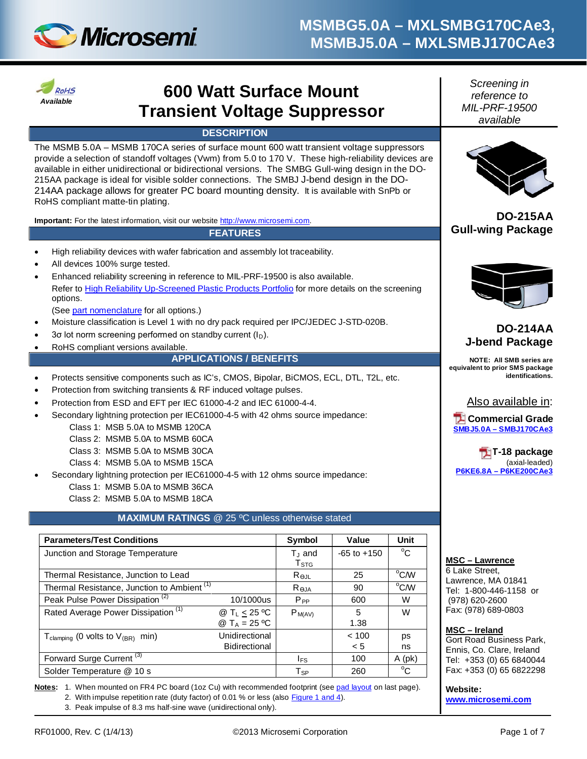



# **600 Watt Surface Mount Transient Voltage Suppressor**

### **DESCRIPTION**

The MSMB 5.0A – MSMB 170CA series of surface mount 600 watt transient voltage suppressors provide a selection of standoff voltages (Vwm) from 5.0 to 170 V. These high-reliability devices are available in either unidirectional or bidirectional versions. The SMBG Gull-wing design in the DO-215AA package is ideal for visible solder connections. The SMBJ J-bend design in the DO-214AA package allows for greater PC board mounting density. It is available with SnPb or RoHS compliant matte-tin plating.

Important: For the latest information, visit our website [http://www.microsemi.com.](http://www.microsemi.com/)

#### **FEATURES**

- High reliability devices with wafer fabrication and assembly lot traceability.
- All devices 100% surge tested.
- Enhanced reliability screening in reference to MIL-PRF-19500 is also available. Refer t[o High Reliability Up-Screened Plastic Products Portfolio](http://www.microsemi.com/document-portal/doc_download/123812-high-reliability-up-screened-plastic-products-portfolio) for more details on the screening options.

(Se[e part nomenclature](#page-1-0) for all options.)

- Moisture classification is Level 1 with no dry pack required per IPC/JEDEC J-STD-020B.
- 3 $\sigma$  lot norm screening performed on standby current ( $I_D$ ).
- RoHS compliant versions available.

#### **APPLICATIONS / BENEFITS**

- Protects sensitive components such as IC's, CMOS, Bipolar, BiCMOS, ECL, DTL, T2L, etc.
- Protection from switching transients & RF induced voltage pulses.
- Protection from ESD and EFT per IEC 61000-4-2 and IEC 61000-4-4.
- Secondary lightning protection per IEC61000-4-5 with 42 ohms source impedance:
	- Class 1: MSB 5.0A to MSMB 120CA
	- Class 2: MSMB 5.0A to MSMB 60CA
	- Class 3: MSMB 5.0A to MSMB 30CA
	- Class 4: MSMB 5.0A to MSMB 15CA
- Secondary lightning protection per IEC61000-4-5 with 12 ohms source impedance:
	- Class 1: MSMB 5.0A to MSMB 36CA
	- Class 2: MSMB 5.0A to MSMB 18CA

### **MAXIMUM RATINGS** @ 25 ºC unless otherwise stated

| <b>Parameters/Test Conditions</b>                        |                                       | Symbol                                   | Value           | Unit         |
|----------------------------------------------------------|---------------------------------------|------------------------------------------|-----------------|--------------|
| Junction and Storage Temperature                         |                                       | $T_{\text{J}}$ and<br>$T_{\mathtt{STG}}$ | $-65$ to $+150$ | $^{\circ}$ C |
| Thermal Resistance, Junction to Lead                     | $R_{\Theta,IL}$                       | 25                                       | °C/W            |              |
| Thermal Resistance, Junction to Ambient <sup>(1)</sup>   | Reja                                  | 90                                       | °C/W            |              |
| Peak Pulse Power Dissipation <sup>(2)</sup>              | 10/1000us                             | $P_{PP}$                                 | 600             | W            |
| Rated Average Power Dissipation <sup>(1)</sup>           | @ $T_L \leq 25$ °C<br>@ $T_A = 25 °C$ | $P_{M(AV)}$                              | 5<br>1.38       | W            |
| $T_{\text{clamping}}$ (0 volts to $V_{\text{(BR)}}$ min) | Unidirectional                        |                                          | < 100           | ps           |
|                                                          | Bidirectional                         |                                          | < 5             | ns           |
| Forward Surge Current <sup>(3)</sup>                     |                                       | l <sub>FS</sub>                          | 100             | $A$ (pk)     |
| Solder Temperature @ 10 s                                |                                       | $T_{SP}$                                 | 260             | $^{\circ}$ C |

**Notes:** 1. When mounted on FR4 PC board (1oz Cu) with recommended footprint (see [pad layout](#page-6-0) on last page). 2. With impulse repetition rate (duty factor) of 0.01 % or less (also [Figure 1 and 4\)](#page-3-0).

3. Peak impulse of 8.3 ms half-sine wave (unidirectional only).

*Screening in reference to MIL-PRF-19500 available*



**DO-215AA Gull-wing Package**



## **DO-214AA J-bend Package**

**NOTE: All SMB series are equivalent to prior SMS package identifications.**

Also available in:

**Z** Commercial Grade **SMBJ5.0A – [SMBJ170CAe3](http://www.microsemi.com/en/products/product-directory/340163)**

**T-18 package**  (axial-leaded) **P6KE6.8A – [P6KE200CAe3](http://www.microsemi.com/en/products/product-directory/311286)**

#### **MSC – Lawrence**

6 Lake Street, Lawrence, MA 01841 Tel: 1-800-446-1158 or (978) 620-2600 Fax: (978) 689-0803

#### **MSC – Ireland**

Gort Road Business Park, Ennis, Co. Clare, Ireland Tel: +353 (0) 65 6840044 Fax: +353 (0) 65 6822298

**Website:** 

**[www.microsemi.com](http://www.microsemi.com/)**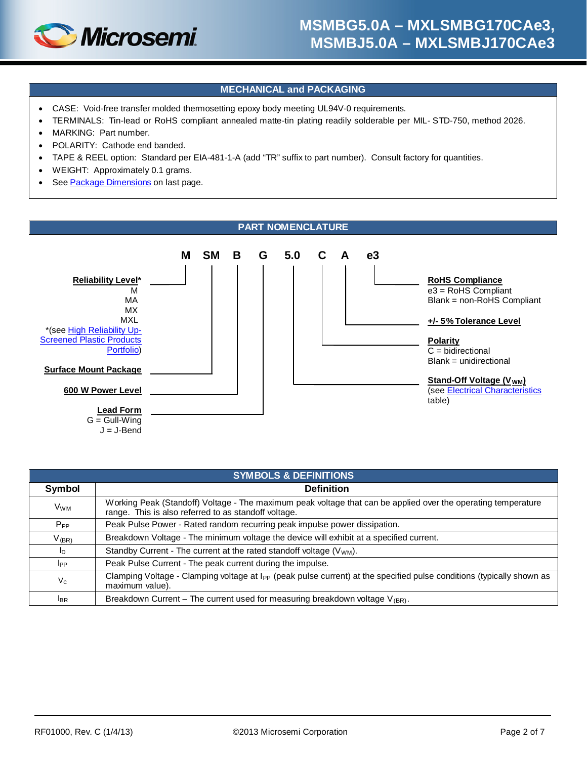

### **MECHANICAL and PACKAGING**

- CASE: Void-free transfer molded thermosetting epoxy body meeting UL94V-0 requirements.
- TERMINALS: Tin-lead or RoHS compliant annealed matte-tin plating readily solderable per MIL- STD-750, method 2026.
- MARKING: Part number.
- POLARITY: Cathode end banded
- TAPE & REEL option: Standard per EIA-481-1-A (add "TR" suffix to part number). Consult factory for quantities.
- WEIGHT: Approximately 0.1 grams.
- See [Package Dimensions](#page-5-0) on last page.

<span id="page-1-0"></span>

| <b>SYMBOLS &amp; DEFINITIONS</b> |                                                                                                                                                                       |  |  |  |  |
|----------------------------------|-----------------------------------------------------------------------------------------------------------------------------------------------------------------------|--|--|--|--|
| Symbol                           | <b>Definition</b>                                                                                                                                                     |  |  |  |  |
| <b>V<sub>WM</sub></b>            | Working Peak (Standoff) Voltage - The maximum peak voltage that can be applied over the operating temperature<br>range. This is also referred to as standoff voltage. |  |  |  |  |
| $P_{PP}$                         | Peak Pulse Power - Rated random recurring peak impulse power dissipation.                                                                                             |  |  |  |  |
| $V_{(BR)}$                       | Breakdown Voltage - The minimum voltage the device will exhibit at a specified current.                                                                               |  |  |  |  |
| I <sub>D</sub>                   | Standby Current - The current at the rated standoff voltage $(V_{WM})$ .                                                                                              |  |  |  |  |
| I <sub>PP</sub>                  | Peak Pulse Current - The peak current during the impulse.                                                                                                             |  |  |  |  |
| $V_{C}$                          | Clamping Voltage - Clamping voltage at I <sub>PP</sub> (peak pulse current) at the specified pulse conditions (typically shown as<br>maximum value).                  |  |  |  |  |
| <b>I</b> BR                      | Breakdown Current – The current used for measuring breakdown voltage $V_{(BR)}$ .                                                                                     |  |  |  |  |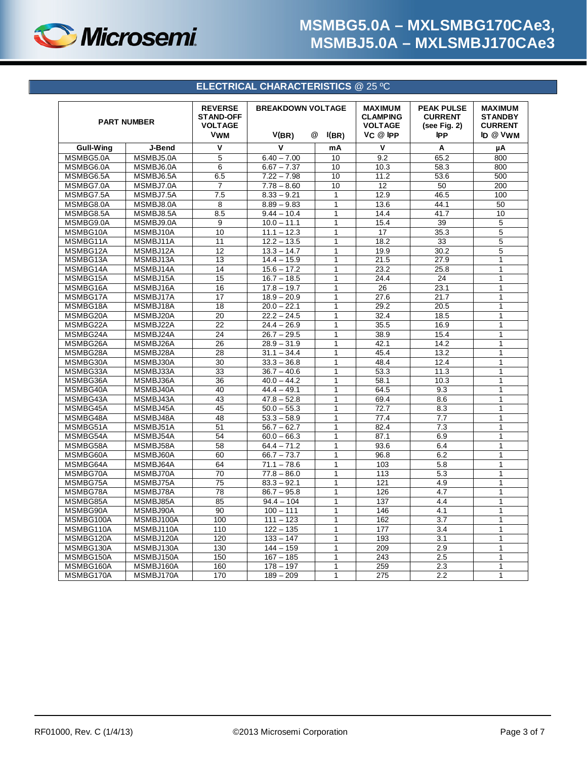

## **ELECTRICAL CHARACTERISTICS** @ 25 ºC

<span id="page-2-0"></span>

| <b>PART NUMBER</b> |           | <b>REVERSE</b><br><b>STAND-OFF</b><br><b>VOLTAGE</b><br><b>VWM</b> | <b>BREAKDOWN VOLTAGE</b><br>V(BR)<br>@<br>I(BR) |              | <b>MAXIMUM</b><br><b>CLAMPING</b><br><b>VOLTAGE</b><br>$VC$ @ IPP | <b>PEAK PULSE</b><br><b>CURRENT</b><br>(see Fig. 2)<br><b>IPP</b> | <b>MAXIMUM</b><br><b>STANDBY</b><br><b>CURRENT</b><br>ID @ VWM |
|--------------------|-----------|--------------------------------------------------------------------|-------------------------------------------------|--------------|-------------------------------------------------------------------|-------------------------------------------------------------------|----------------------------------------------------------------|
|                    |           |                                                                    |                                                 |              |                                                                   |                                                                   |                                                                |
| <b>Gull-Wing</b>   | J-Bend    | V                                                                  | $\mathbf v$                                     | mA           | $\mathsf{V}$                                                      | Α                                                                 | μA                                                             |
| MSMBG5.0A          | MSMBJ5.0A | 5                                                                  | $6.40 - 7.00$                                   | 10           | 9.2                                                               | 65.2                                                              | 800                                                            |
| MSMBG6.0A          | MSMBJ6.0A | 6                                                                  | $6.67 - 7.37$                                   | 10           | 10.3                                                              | 58.3                                                              | 800                                                            |
| MSMBG6.5A          | MSMBJ6.5A | 6.5                                                                | $7.22 - 7.98$                                   | 10           | 11.2                                                              | 53.6                                                              | 500                                                            |
| MSMBG7.0A          | MSMBJ7.0A | $\overline{7}$                                                     | $7.78 - 8.60$                                   | 10           | 12                                                                | 50                                                                | 200                                                            |
| MSMBG7.5A          | MSMBJ7.5A | 7.5                                                                | $8.33 - 9.21$                                   | $\mathbf{1}$ | 12.9                                                              | 46.5                                                              | 100                                                            |
| MSMBG8.0A          | MSMBJ8.0A | 8                                                                  | $8.89 - 9.83$                                   | $\mathbf{1}$ | 13.6                                                              | 44.1                                                              | 50                                                             |
| MSMBG8.5A          | MSMBJ8.5A | 8.5                                                                | $9.44 - 10.4$                                   | $\mathbf{1}$ | 14.4                                                              | 41.7                                                              | 10                                                             |
| MSMBG9.0A          | MSMBJ9.0A | 9                                                                  | $10.0 - 11.1$                                   | 1            | 15.4                                                              | 39                                                                | 5                                                              |
| MSMBG10A           | MSMBJ10A  | 10                                                                 | $11.1 - 12.3$                                   | $\mathbf{1}$ | 17                                                                | 35.3                                                              | 5                                                              |
| MSMBG11A           | MSMBJ11A  | 11                                                                 | $\overline{12.2} - 13.5$                        | $\mathbf{1}$ | 18.2                                                              | 33                                                                | 5                                                              |
| MSMBG12A           | MSMBJ12A  | 12                                                                 | $13.3 - 14.7$                                   | 1            | 19.9                                                              | 30.2                                                              | 5                                                              |
| MSMBG13A           | MSMBJ13A  | 13                                                                 | $14.4 - 15.9$                                   | $\mathbf{1}$ | 21.5                                                              | 27.9                                                              | $\mathbf{1}$                                                   |
| MSMBG14A           | MSMBJ14A  | 14                                                                 | $15.6 - 17.2$                                   | $\mathbf{1}$ | 23.2                                                              | 25.8                                                              | $\mathbf{1}$                                                   |
| MSMBG15A           | MSMBJ15A  | $\overline{15}$                                                    | $16.7 - 18.5$                                   | $\mathbf{1}$ | 24.4                                                              | 24                                                                | 1                                                              |
| MSMBG16A           | MSMBJ16A  | 16                                                                 | $17.8 - 19.7$                                   | $\mathbf{1}$ | 26                                                                | 23.1                                                              | 1                                                              |
| MSMBG17A           | MSMBJ17A  | 17                                                                 | $18.9 - 20.9$                                   | $\mathbf{1}$ | 27.6                                                              | 21.7                                                              | $\mathbf{1}$                                                   |
| MSMBG18A           | MSMBJ18A  | 18                                                                 | $20.0 - 22.1$                                   | $\mathbf{1}$ | 29.2                                                              | 20.5                                                              | $\mathbf{1}$                                                   |
| MSMBG20A           | MSMBJ20A  | 20                                                                 | $22.2 - 24.5$                                   | $\mathbf{1}$ | 32.4                                                              | 18.5                                                              | $\mathbf{1}$                                                   |
| MSMBG22A           | MSMBJ22A  | 22                                                                 | $24.4 - 26.9$                                   | $\mathbf{1}$ | 35.5                                                              | 16.9                                                              | $\mathbf{1}$                                                   |
| MSMBG24A           | MSMBJ24A  | 24                                                                 | $26.7 - 29.5$                                   | $\mathbf{1}$ | 38.9                                                              | 15.4                                                              | 1                                                              |
| MSMBG26A           | MSMBJ26A  | 26                                                                 | $28.9 - 31.9$                                   | $\mathbf{1}$ | 42.1                                                              | 14.2                                                              | $\mathbf{1}$                                                   |
| MSMBG28A           | MSMBJ28A  | 28                                                                 | $31.1 - 34.4$                                   | $\mathbf{1}$ | 45.4                                                              | 13.2                                                              | $\mathbf{1}$                                                   |
| MSMBG30A           | MSMBJ30A  | 30                                                                 | $33.3 - 36.8$                                   | $\mathbf{1}$ | 48.4                                                              | 12.4                                                              | $\mathbf{1}$                                                   |
| MSMBG33A           | MSMBJ33A  | 33                                                                 | $36.7 - 40.6$                                   | $\mathbf{1}$ | 53.3                                                              | 11.3                                                              | $\mathbf{1}$                                                   |
| MSMBG36A           | MSMBJ36A  | 36                                                                 | $40.0 - 44.2$                                   | $\mathbf{1}$ | 58.1                                                              | 10.3                                                              | 1                                                              |
| MSMBG40A           | MSMBJ40A  | 40                                                                 | $44.4 - 49.1$                                   | $\mathbf{1}$ | 64.5                                                              | 9.3                                                               | 1                                                              |
| MSMBG43A           | MSMBJ43A  | 43                                                                 | $47.8 - 52.8$                                   | $\mathbf{1}$ | 69.4                                                              | 8.6                                                               | $\mathbf{1}$                                                   |
| MSMBG45A           | MSMBJ45A  | 45                                                                 | $50.0 - 55.3$                                   | $\mathbf{1}$ | 72.7                                                              | 8.3                                                               | $\mathbf{1}$                                                   |
| MSMBG48A           | MSMBJ48A  | 48                                                                 | $53.3 - 58.9$                                   | $\mathbf{1}$ | 77.4                                                              | 7.7                                                               | $\mathbf{1}$                                                   |
| MSMBG51A           | MSMBJ51A  | 51                                                                 | $56.7 - 62.7$                                   | 1            | 82.4                                                              | 7.3                                                               | 1                                                              |
| MSMBG54A           | MSMBJ54A  | 54                                                                 | $60.0 - 66.3$                                   | $\mathbf{1}$ | 87.1                                                              | 6.9                                                               | $\mathbf{1}$                                                   |
| MSMBG58A           | MSMBJ58A  | 58                                                                 | $64.4 - 71.2$                                   | $\mathbf{1}$ | 93.6                                                              | 6.4                                                               | $\mathbf{1}$                                                   |
| MSMBG60A           | MSMBJ60A  | 60                                                                 | $66.7 - 73.7$                                   | $\mathbf{1}$ | 96.8                                                              | 6.2                                                               | $\mathbf{1}$                                                   |
| MSMBG64A           | MSMBJ64A  | 64                                                                 | $71.1 - 78.6$                                   | 1            | 103                                                               | 5.8                                                               | $\mathbf{1}$                                                   |
| MSMBG70A           | MSMBJ70A  | 70                                                                 | $77.8 - 86.0$                                   | $\mathbf{1}$ | 113                                                               | 5.3                                                               | $\mathbf{1}$                                                   |
| MSMBG75A           | MSMBJ75A  | 75                                                                 | $83.3 - 92.1$                                   | $\mathbf{1}$ | 121                                                               | 4.9                                                               | 1                                                              |
| MSMBG78A           | MSMBJ78A  | 78                                                                 | $86.7 - 95.8$                                   | $\mathbf{1}$ | 126                                                               | 4.7                                                               | 1                                                              |
| MSMBG85A           | MSMBJ85A  | 85                                                                 | $94.4 - 104$                                    | $\mathbf{1}$ | 137                                                               | 4.4                                                               | $\mathbf{1}$                                                   |
| MSMBG90A           | MSMBJ90A  | 90                                                                 | $100 - 111$                                     | 1            | 146                                                               | 4.1                                                               | 1                                                              |
| MSMBG100A          | MSMBJ100A | 100                                                                | $111 - 123$                                     | $\mathbf{1}$ | 162                                                               | 3.7                                                               | $\mathbf{1}$                                                   |
| MSMBG110A          | MSMBJ110A | 110                                                                | $122 - 135$                                     | $\mathbf{1}$ | 177                                                               | 3.4                                                               | $\mathbf{1}$                                                   |
| MSMBG120A          | MSMBJ120A | 120                                                                | $133 - 147$                                     | $\mathbf{1}$ | 193                                                               | 3.1                                                               | $\mathbf{1}$                                                   |
| MSMBG130A          | MSMBJ130A | 130                                                                | $144 - 159$                                     | $\mathbf{1}$ | 209                                                               | 2.9                                                               | $\mathbf{1}$                                                   |
| MSMBG150A          | MSMBJ150A | 150                                                                | $167 - 185$                                     | $\mathbf{1}$ | 243                                                               | 2.5                                                               | $\mathbf{1}$                                                   |
| MSMBG160A          | MSMBJ160A | 160                                                                | $178 - 197$                                     | 1            | 259                                                               | 2.3                                                               | 1                                                              |
| MSMBG170A          | MSMBJ170A | 170                                                                | $189 - 209$                                     | $\mathbf{1}$ | 275                                                               | 2.2                                                               | 1                                                              |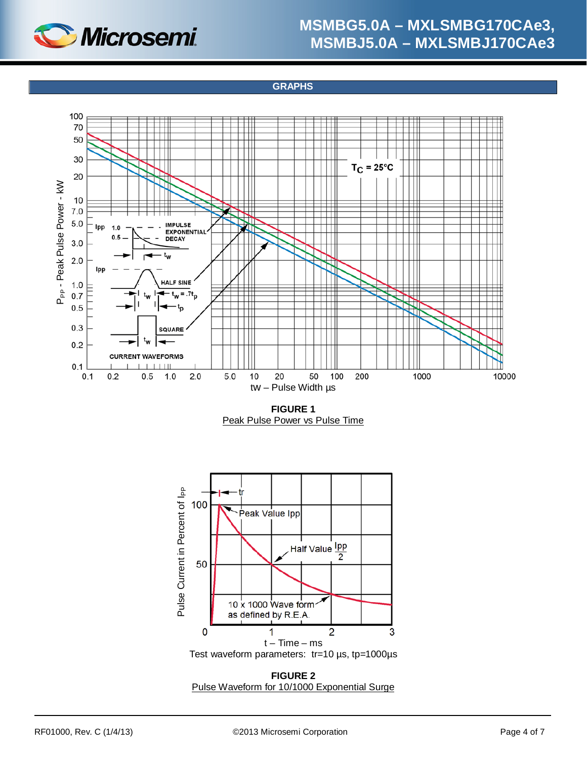

**GRAPHS**

<span id="page-3-0"></span>

**FIGURE 1** Peak Pulse Power vs Pulse Time



**FIGURE 2** Pulse Waveform for 10/1000 Exponential Surge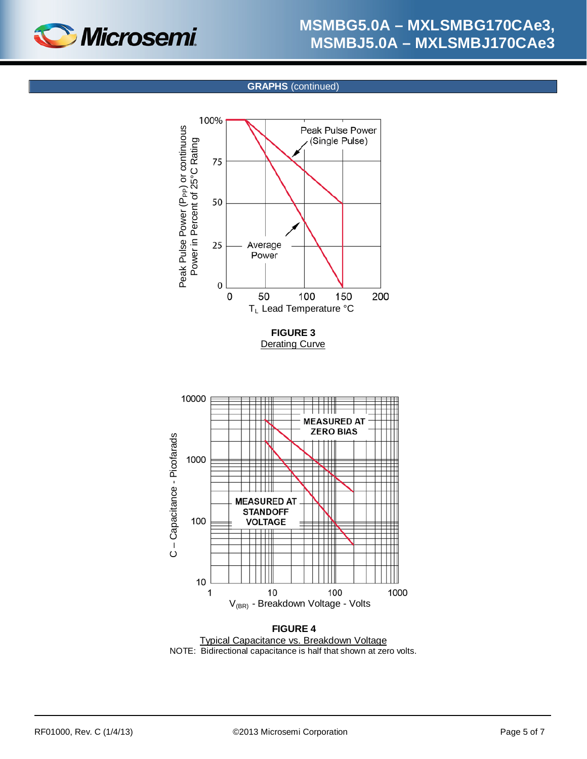

#### **GRAPHS** (continued)

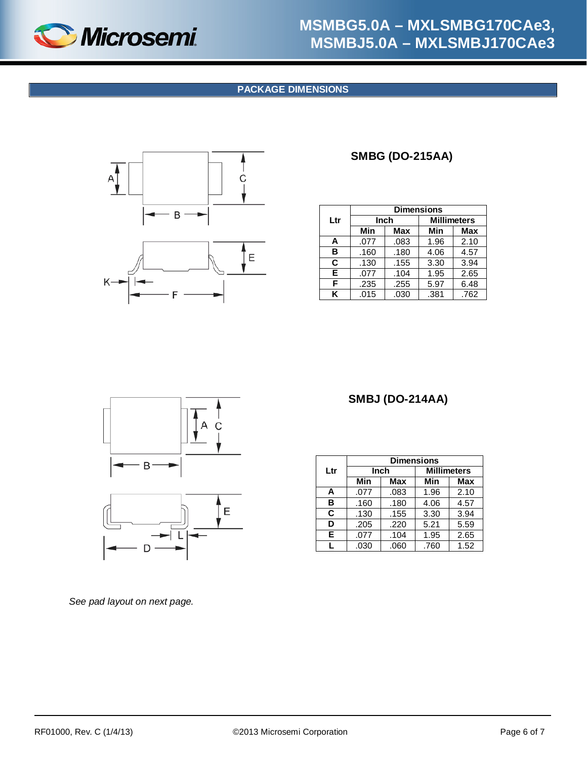<span id="page-5-0"></span>

### **PACKAGE DIMENSIONS**



## **SMBG (DO-215AA)**

|     | <b>Dimensions</b> |      |      |                    |
|-----|-------------------|------|------|--------------------|
| Ltr | Inch              |      |      | <b>Millimeters</b> |
|     | Min               | Max  | Min  | <b>Max</b>         |
| A   | .077              | .083 | 1.96 | 2.10               |
| в   | .160              | .180 | 4.06 | 4.57               |
| C.  | .130              | .155 | 3.30 | 3.94               |
| E.  | .077              | .104 | 1.95 | 2.65               |
| F   | .235              | .255 | 5.97 | 6.48               |
| ĸ   | .015              | .030 | .381 | .762               |



## **SMBJ (DO-214AA)**

|     | <b>Dimensions</b> |      |      |                    |
|-----|-------------------|------|------|--------------------|
| Ltr |                   | Inch |      | <b>Millimeters</b> |
|     | Min               | Max  | Min  | Max                |
| A   | .077              | .083 | 1.96 | 2.10               |
| в   | .160              | .180 | 4.06 | 4.57               |
| C   | .130              | .155 | 3.30 | 3.94               |
| D   | .205              | .220 | 5.21 | 5.59               |
| Е   | .077              | .104 | 1.95 | 2.65               |
| L   | .030              | .060 | .760 | 1.52               |

*See pad layout on next page.*

D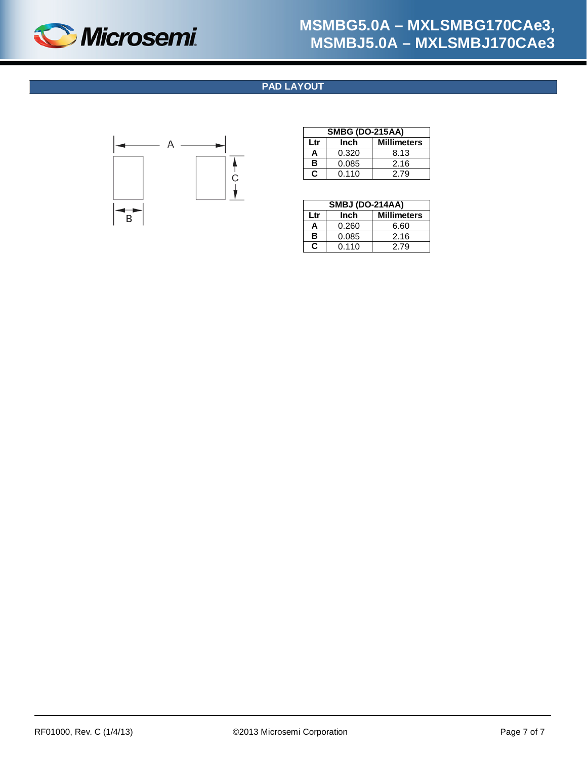<span id="page-6-0"></span>

## **PAD LAYOUT**



| <b>SMBG (DO-215AA)</b>            |       |      |  |  |
|-----------------------------------|-------|------|--|--|
| <b>Millimeters</b><br>Inch<br>Ltr |       |      |  |  |
| А                                 | 0.320 | 8.13 |  |  |
| в                                 | 0.085 | 2.16 |  |  |
| $\mathbf{c}$                      | 0.110 | 2.79 |  |  |

| <b>SMBJ (DO-214AA)</b>            |       |      |  |  |
|-----------------------------------|-------|------|--|--|
| <b>Millimeters</b><br>Inch<br>Ltr |       |      |  |  |
| А                                 | 0.260 | 6.60 |  |  |
| в<br>0.085<br>2.16                |       |      |  |  |
| c                                 | 0.110 | 2.79 |  |  |